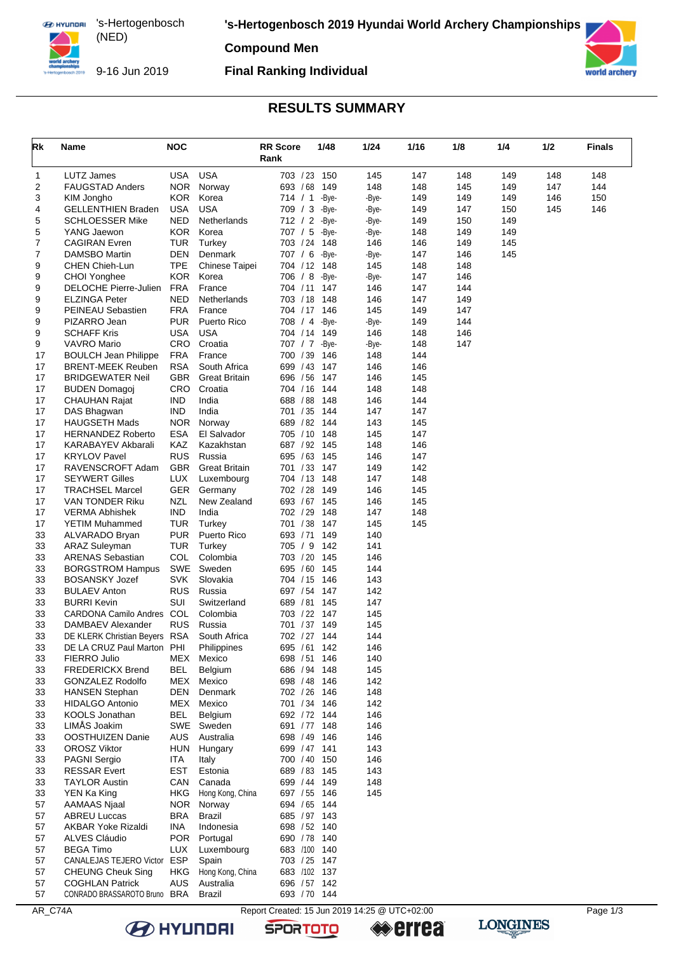**EX HYUNDAI** 's-Hertogenbosch (NED) 

**'s-Hertogenbosch 2019 Hyundai World Archery Championships**

**Compound Men**



9-16 Jun 2019

### **Final Ranking Individual**



### **RESULTS SUMMARY**

| Rk       | Name                                               | <b>NOC</b>        |                            | <b>RR Score</b><br>Rank                       | 1/48         | 1/24           | 1/16       | 1/8        | 1/4        | 1/2 | <b>Finals</b> |
|----------|----------------------------------------------------|-------------------|----------------------------|-----------------------------------------------|--------------|----------------|------------|------------|------------|-----|---------------|
| 1        | <b>LUTZ James</b>                                  | USA               | <b>USA</b>                 | 703 / 23 150                                  |              | 145            | 147        | 148        | 149        | 148 | 148           |
| 2        | <b>FAUGSTAD Anders</b>                             | <b>NOR</b>        | Norway                     | 693 / 68                                      | 149          | 148            | 148        | 145        | 149        | 147 | 144           |
| 3        | KIM Jongho                                         | <b>KOR</b>        | Korea                      | 714 / 1                                       | -Bye-        | -Bye-          | 149        | 149        | 149        | 146 | 150           |
| 4        | <b>GELLENTHIEN Braden</b>                          | USA               | <b>USA</b>                 | 709 / 3                                       | -Bye-        | -Bye-          | 149        | 147        | 150        | 145 | 146           |
| 5<br>5   | <b>SCHLOESSER Mike</b><br>YANG Jaewon              | NED<br>KOR.       | Netherlands<br>Korea       | 712 / 2 -Bye-<br>707 / 5                      | -Bye-        | -Bye-<br>-Bye- | 149<br>148 | 150<br>149 | 149<br>149 |     |               |
| 7        | <b>CAGIRAN Evren</b>                               | <b>TUR</b>        | Turkey                     | 703 / 24 148                                  |              | 146            | 146        | 149        | 145        |     |               |
| 7        | DAMSBO Martin                                      | DEN               | Denmark                    | 707 / 6 -Bye-                                 |              | -Bye-          | 147        | 146        | 145        |     |               |
| 9        | CHEN Chieh-Lun                                     | <b>TPE</b>        | Chinese Taipei             | 704 / 12 148                                  |              | 145            | 148        | 148        |            |     |               |
| 9        | CHOI Yonghee                                       | <b>KOR</b>        | Korea                      | 706 / 8 -Bye-                                 |              | -Bye-          | 147        | 146        |            |     |               |
| 9        | DELOCHE Pierre-Julien                              | <b>FRA</b>        | France                     | 704 / 11 147                                  |              | 146            | 147        | 144        |            |     |               |
| 9        | <b>ELZINGA Peter</b>                               | NED               | Netherlands                | 703 / 18                                      | 148          | 146            | 147        | 149        |            |     |               |
| 9        | PEINEAU Sebastien                                  | <b>FRA</b>        | France                     | 704 / 17 146                                  |              | 145            | 149        | 147        |            |     |               |
| 9<br>9   | PIZARRO Jean<br><b>SCHAFF Kris</b>                 | PUR<br><b>USA</b> | Puerto Rico<br><b>USA</b>  | 708 / 4<br>704 / 14                           | -Bye-<br>149 | -Bye-<br>146   | 149<br>148 | 144<br>146 |            |     |               |
| 9        | <b>VAVRO Mario</b>                                 | <b>CRO</b>        | Croatia                    | 707 / 7 -Bye-                                 |              | -Bye-          | 148        | 147        |            |     |               |
| 17       | <b>BOULCH Jean Philippe</b>                        | <b>FRA</b>        | France                     | 700 / 39                                      | 146          | 148            | 144        |            |            |     |               |
| 17       | <b>BRENT-MEEK Reuben</b>                           | <b>RSA</b>        | South Africa               | 699 / 43                                      | 147          | 146            | 146        |            |            |     |               |
| 17       | <b>BRIDGEWATER Neil</b>                            | <b>GBR</b>        | <b>Great Britain</b>       | 696 / 56                                      | 147          | 146            | 145        |            |            |     |               |
| 17       | <b>BUDEN Domagoj</b>                               | CRO.              | Croatia                    | 704 / 16                                      | 144          | 148            | 148        |            |            |     |               |
| 17       | <b>CHAUHAN Rajat</b>                               | <b>IND</b>        | India                      | 688 / 88                                      | 148          | 146            | 144        |            |            |     |               |
| 17       | DAS Bhagwan                                        | <b>IND</b>        | India                      | 701 / 35                                      | 144          | 147            | 147        |            |            |     |               |
| 17<br>17 | <b>HAUGSETH Mads</b><br><b>HERNANDEZ Roberto</b>   | NOR<br>ESA        | Norway<br>El Salvador      | 689 / 82<br>705 / 10                          | 144<br>148   | 143<br>145     | 145<br>147 |            |            |     |               |
| 17       | KARABAYEV Akbarali                                 | KAZ               | Kazakhstan                 | 687 / 92 145                                  |              | 148            | 146        |            |            |     |               |
| 17       | <b>KRYLOV Pavel</b>                                | <b>RUS</b>        | Russia                     | 695 / 63                                      | 145          | 146            | 147        |            |            |     |               |
| 17       | RAVENSCROFT Adam                                   | <b>GBR</b>        | <b>Great Britain</b>       | 701 / 33                                      | 147          | 149            | 142        |            |            |     |               |
| 17       | <b>SEYWERT Gilles</b>                              | <b>LUX</b>        | Luxembourg                 | 704 / 13 148                                  |              | 147            | 148        |            |            |     |               |
| 17       | <b>TRACHSEL Marcel</b>                             | <b>GER</b>        | Germany                    | 702 / 28                                      | 149          | 146            | 145        |            |            |     |               |
| 17       | VAN TONDER Riku                                    | NZL               | New Zealand                | 693 / 67                                      | 145          | 146            | 145        |            |            |     |               |
| 17       | VERMA Abhishek                                     | <b>IND</b>        | India                      | 702 / 29                                      | 148          | 147            | 148        |            |            |     |               |
| 17<br>33 | YETIM Muhammed<br>ALVARADO Bryan                   | TUR<br><b>PUR</b> | Turkey<br>Puerto Rico      | 701 / 38<br>693 / 71                          | 147<br>149   | 145<br>140     | 145        |            |            |     |               |
| 33       | <b>ARAZ Suleyman</b>                               | <b>TUR</b>        | Turkey                     | 705 / 9 142                                   |              | 141            |            |            |            |     |               |
| 33       | <b>ARENAS Sebastian</b>                            | <b>COL</b>        | Colombia                   | 703 / 20                                      | 145          | 146            |            |            |            |     |               |
| 33       | <b>BORGSTROM Hampus</b>                            | SWE               | Sweden                     | 695 / 60                                      | 145          | 144            |            |            |            |     |               |
| 33       | <b>BOSANSKY Jozef</b>                              | <b>SVK</b>        | Slovakia                   | 704 / 15 146                                  |              | 143            |            |            |            |     |               |
| 33       | <b>BULAEV Anton</b>                                | <b>RUS</b>        | Russia                     | 697 / 54 147                                  |              | 142            |            |            |            |     |               |
| 33       | <b>BURRI Kevin</b>                                 | SUI               | Switzerland                | 689 / 81                                      | 145          | 147            |            |            |            |     |               |
| 33       | <b>CARDONA Camilo Andres</b>                       | COL               | Colombia                   | 703 / 22 147                                  |              | 145            |            |            |            |     |               |
| 33<br>33 | DAMBAEV Alexander<br>DE KLERK Christian Beyers RSA | <b>RUS</b>        | Russia<br>South Africa     | 701 / 37<br>702 / 27 144                      | 149          | 145<br>144     |            |            |            |     |               |
| 33       | DE LA CRUZ Paul Marton PHI                         |                   | Philippines                | 695 / 61                                      | 142          | 146            |            |            |            |     |               |
| 33       | FIERRO Julio                                       | MEX               | Mexico                     | 698 / 51 146                                  |              | 140            |            |            |            |     |               |
| 33       | <b>FREDERICKX Brend</b>                            | <b>BEL</b>        | Belgium                    | 686 / 94 148                                  |              | 145            |            |            |            |     |               |
| 33       | GONZALEZ Rodolfo                                   | MEX               | Mexico                     | 698 / 48 146                                  |              | 142            |            |            |            |     |               |
| 33       | <b>HANSEN Stephan</b>                              | DEN               | Denmark                    | 702 / 26 146                                  |              | 148            |            |            |            |     |               |
| 33       | <b>HIDALGO Antonio</b>                             |                   | MEX Mexico                 | 701 / 34 146                                  |              | 142            |            |            |            |     |               |
| 33       | KOOLS Jonathan                                     | BEL               | Belgium                    | 692 / 72 144                                  |              | 146            |            |            |            |     |               |
| 33<br>33 | LIMÅS Joakim<br>OOSTHUIZEN Danie                   | AUS               | SWE Sweden<br>Australia    | 691 / 77 148<br>698 / 49 146                  |              | 146<br>146     |            |            |            |     |               |
| 33       | <b>OROSZ Viktor</b>                                | HUN               | Hungary                    | 699 / 47 141                                  |              | 143            |            |            |            |     |               |
| 33       | PAGNI Sergio                                       | ITA               | Italy                      | 700 / 40 150                                  |              | 146            |            |            |            |     |               |
| 33       | <b>RESSAR Evert</b>                                | EST               | Estonia                    | 689 / 83 145                                  |              | 143            |            |            |            |     |               |
| 33       | <b>TAYLOR Austin</b>                               | CAN               | Canada                     | 699 / 44 149                                  |              | 148            |            |            |            |     |               |
| 33       | YEN Ka King                                        | HKG               | Hong Kong, China           | 697 / 55 146                                  |              | 145            |            |            |            |     |               |
| 57       | AAMAAS Njaal                                       |                   | NOR Norway                 | 694 / 65 144                                  |              |                |            |            |            |     |               |
| 57       | <b>ABREU Luccas</b>                                | BRA               | Brazil                     | 685 / 97 143                                  |              |                |            |            |            |     |               |
| 57       | <b>AKBAR Yoke Rizaldi</b>                          | INA               | Indonesia                  | 698 / 52 140                                  |              |                |            |            |            |     |               |
| 57<br>57 | ALVES Cláudio<br><b>BEGA Timo</b>                  | <b>LUX</b>        | POR Portugal<br>Luxembourg | 690 / 78 140<br>683 /100 140                  |              |                |            |            |            |     |               |
| 57       | CANALEJAS TEJERO Victor                            | ESP               | Spain                      | 703 / 25 147                                  |              |                |            |            |            |     |               |
| 57       | <b>CHEUNG Cheuk Sing</b>                           | HKG               | Hong Kong, China           | 683 /102 137                                  |              |                |            |            |            |     |               |
| 57       | <b>COGHLAN Patrick</b>                             | AUS               | Australia                  | 696 / 57 142                                  |              |                |            |            |            |     |               |
| 57       | CONRADO BRASSAROTO Bruno BRA                       |                   | Brazil                     | 693 / 70 144                                  |              |                |            |            |            |     |               |
| AR_C74A  |                                                    |                   |                            | Report Created: 15 Jun 2019 14:25 @ UTC+02:00 |              |                |            |            |            |     | Page 1/3      |



**B** HYUNDAI

**SPORTOTO** 

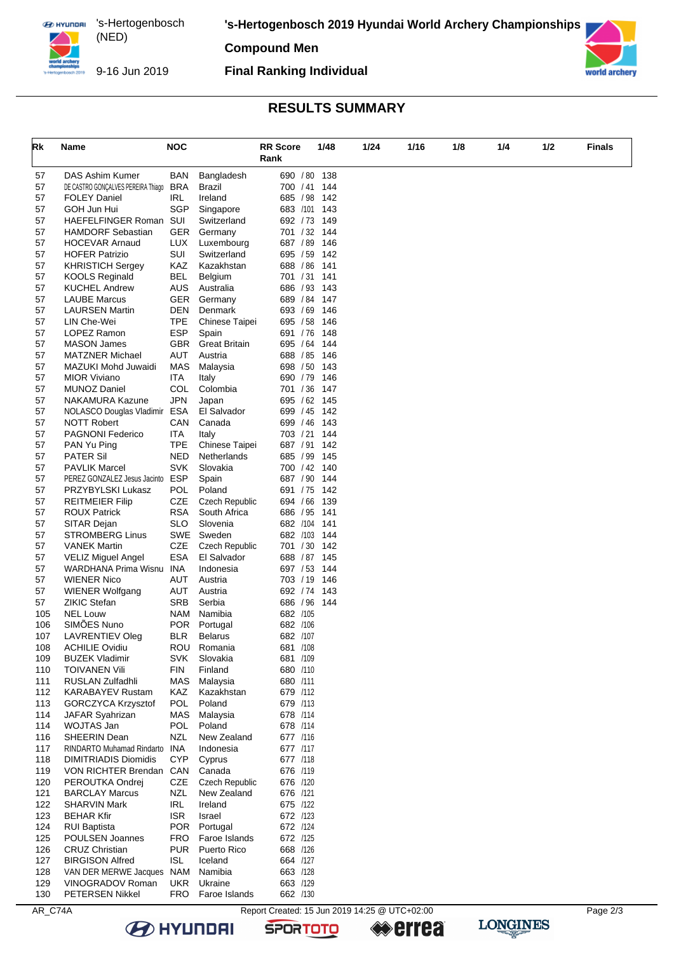**EX HYUNDAI** 's-Hertogenbosch (NED) 

**'s-Hertogenbosch 2019 Hyundai World Archery Championships**

**Compound Men**



9-16 Jun 2019

### **Final Ranking Individual**



## **RESULTS SUMMARY**

| Rk         | Name                                          | <b>NOC</b>        |                                 | <b>RR</b> Score      | 1/48       | 1/24 | 1/16 | 1/8 | 1/4 | 1/2 | <b>Finals</b> |
|------------|-----------------------------------------------|-------------------|---------------------------------|----------------------|------------|------|------|-----|-----|-----|---------------|
|            |                                               |                   |                                 | Rank                 |            |      |      |     |     |     |               |
| 57         | DAS Ashim Kumer                               | <b>BAN</b>        | Bangladesh                      | 690 / 80             | 138        |      |      |     |     |     |               |
| 57         | DE CASTRO GONÇALVES PEREIRA Thiago            | <b>BRA</b>        | Brazil                          | 700 / 41             | 144        |      |      |     |     |     |               |
| 57         | <b>FOLEY Daniel</b>                           | <b>IRL</b>        | Ireland                         | 685 / 98             | 142        |      |      |     |     |     |               |
| 57         | GOH Jun Hui                                   | SGP               | Singapore                       | 683 /101 143         |            |      |      |     |     |     |               |
| 57         | HAEFELFINGER Roman SUI                        |                   | Switzerland                     | 692 / 73             | 149        |      |      |     |     |     |               |
| 57         | <b>HAMDORF Sebastian</b>                      | <b>GER</b>        | Germany                         | 701 / 32 144         |            |      |      |     |     |     |               |
| 57         | <b>HOCEVAR Arnaud</b>                         | <b>LUX</b>        | Luxembourg                      | 687 / 89             | 146        |      |      |     |     |     |               |
| 57         | <b>HOFER Patrizio</b>                         | SUI               | Switzerland                     | 695 / 59             | 142        |      |      |     |     |     |               |
| 57         | <b>KHRISTICH Sergey</b>                       | KAZ               | Kazakhstan                      | 688 / 86 141         |            |      |      |     |     |     |               |
| 57         | <b>KOOLS Reginald</b>                         | <b>BEL</b>        | Belgium                         | 701 / 31             | 141        |      |      |     |     |     |               |
| 57         | <b>KUCHEL Andrew</b>                          | <b>AUS</b>        | Australia                       | 686 / 93             | 143        |      |      |     |     |     |               |
| 57         | <b>LAUBE Marcus</b>                           | <b>GER</b>        | Germany                         | 689 / 84 147         |            |      |      |     |     |     |               |
| 57<br>57   | <b>LAURSEN Martin</b>                         | DEN<br><b>TPE</b> | Denmark                         | 693 / 69<br>695 / 58 | 146<br>146 |      |      |     |     |     |               |
| 57         | LIN Che-Wei<br>LOPEZ Ramon                    | <b>ESP</b>        | Chinese Taipei<br>Spain         | 691 / 76             | 148        |      |      |     |     |     |               |
| 57         | <b>MASON James</b>                            | GBR               | <b>Great Britain</b>            | 695 / 64             | 144        |      |      |     |     |     |               |
| 57         | <b>MATZNER Michael</b>                        | <b>AUT</b>        | Austria                         | 688 / 85             | 146        |      |      |     |     |     |               |
| 57         | MAZUKI Mohd Juwaidi                           | <b>MAS</b>        | Malaysia                        | 698 / 50 143         |            |      |      |     |     |     |               |
| 57         | <b>MIOR Viviano</b>                           | ITA               | Italy                           | 690 / 79             | 146        |      |      |     |     |     |               |
| 57         | <b>MUNOZ Daniel</b>                           | COL               | Colombia                        | 701 / 36             | 147        |      |      |     |     |     |               |
| 57         | NAKAMURA Kazune                               | <b>JPN</b>        | Japan                           | 695 / 62 145         |            |      |      |     |     |     |               |
| 57         | NOLASCO Douglas Vladimir ESA                  |                   | El Salvador                     | 699 / 45             | 142        |      |      |     |     |     |               |
| 57         | <b>NOTT Robert</b>                            | CAN               | Canada                          | 699 / 46             | 143        |      |      |     |     |     |               |
| 57         | <b>PAGNONI Federico</b>                       | ITA               | Italy                           | 703 / 21             | 144        |      |      |     |     |     |               |
| 57         | PAN Yu Ping                                   | <b>TPE</b>        | Chinese Taipei                  | 687 / 91             | 142        |      |      |     |     |     |               |
| 57         | <b>PATER Sil</b>                              | <b>NED</b>        | Netherlands                     | 685 / 99             | 145        |      |      |     |     |     |               |
| 57         | <b>PAVLIK Marcel</b>                          | <b>SVK</b>        | Slovakia                        | 700 / 42 140         |            |      |      |     |     |     |               |
| 57<br>57   | PEREZ GONZALEZ Jesus Jacinto ESP              | <b>POL</b>        | Spain                           | 687 / 90             | 144        |      |      |     |     |     |               |
| 57         | PRZYBYLSKI Lukasz<br><b>REITMEIER Filip</b>   | CZE               | Poland<br><b>Czech Republic</b> | 691 / 75<br>694 / 66 | 142<br>139 |      |      |     |     |     |               |
| 57         | <b>ROUX Patrick</b>                           | RSA               | South Africa                    | 686 / 95             | 141        |      |      |     |     |     |               |
| 57         | SITAR Dejan                                   | <b>SLO</b>        | Slovenia                        | 682 /104 141         |            |      |      |     |     |     |               |
| 57         | <b>STROMBERG Linus</b>                        | <b>SWE</b>        | Sweden                          | 682 /103 144         |            |      |      |     |     |     |               |
| 57         | <b>VANEK Martin</b>                           | CZE               | Czech Republic                  | 701 / 30             | 142        |      |      |     |     |     |               |
| 57         | <b>VELIZ Miguel Angel</b>                     | <b>ESA</b>        | El Salvador                     | 688 / 87 145         |            |      |      |     |     |     |               |
| 57         | WARDHANA Prima Wisnu INA                      |                   | Indonesia                       | 697 / 53 144         |            |      |      |     |     |     |               |
| 57         | <b>WIENER Nico</b>                            | AUT               | Austria                         | 703 / 19             | 146        |      |      |     |     |     |               |
| 57         | <b>WIENER Wolfgang</b>                        | AUT               | Austria                         | 692 / 74 143         |            |      |      |     |     |     |               |
| 57         | <b>ZIKIC Stefan</b>                           | <b>SRB</b>        | Serbia                          | 686 / 96             | 144        |      |      |     |     |     |               |
| 105        | <b>NEL Louw</b>                               | <b>NAM</b>        | Namibia                         | 682 /105             |            |      |      |     |     |     |               |
| 106        | SIMÕES Nuno                                   | <b>POR</b>        | Portugal                        | 682 /106             |            |      |      |     |     |     |               |
| 107        | LAVRENTIEV Oleg                               | <b>BLR</b>        | <b>Belarus</b>                  | 682 /107             |            |      |      |     |     |     |               |
| 108        | <b>ACHILIE Ovidiu</b>                         | ROU<br><b>SVK</b> | Romania                         | 681 /108<br>681 /109 |            |      |      |     |     |     |               |
| 109<br>110 | <b>BUZEK Vladimir</b><br><b>TOIVANEN Vili</b> | FIN               | Slovakia<br>Finland             | 680 /110             |            |      |      |     |     |     |               |
| 111        | RUSLAN Zulfadhli                              | MAS               | Malaysia                        | 680 /111             |            |      |      |     |     |     |               |
| 112        | <b>KARABAYEV Rustam</b>                       | KAZ               | Kazakhstan                      | 679 /112             |            |      |      |     |     |     |               |
| 113        | <b>GORCZYCA Krzysztof</b>                     | POL               | Poland                          | 679 /113             |            |      |      |     |     |     |               |
| 114        | JAFAR Syahrizan                               | MAS               | Malaysia                        | 678 /114             |            |      |      |     |     |     |               |
| 114        | WOJTAS Jan                                    | POL               | Poland                          | 678 /114             |            |      |      |     |     |     |               |
| 116        | SHEERIN Dean                                  | <b>NZL</b>        | New Zealand                     | 677 /116             |            |      |      |     |     |     |               |
| 117        | RINDARTO Muhamad Rindarto INA                 |                   | Indonesia                       | 677 /117             |            |      |      |     |     |     |               |
| 118        | <b>DIMITRIADIS Diomidis</b>                   | <b>CYP</b>        | Cyprus                          | 677 /118             |            |      |      |     |     |     |               |
| 119        | VON RICHTER Brendan CAN                       |                   | Canada                          | 676 /119             |            |      |      |     |     |     |               |
| 120        | PEROUTKA Ondrej                               | CZE               | Czech Republic                  | 676 /120             |            |      |      |     |     |     |               |
| 121        | <b>BARCLAY Marcus</b>                         | <b>NZL</b>        | New Zealand                     | 676 /121             |            |      |      |     |     |     |               |
| 122        | <b>SHARVIN Mark</b>                           | <b>IRL</b>        | Ireland                         | 675 /122             |            |      |      |     |     |     |               |
| 123        | <b>BEHAR Kfir</b>                             | <b>ISR</b>        | Israel                          | 672 /123             |            |      |      |     |     |     |               |
| 124<br>125 | <b>RUI Baptista</b><br>POULSEN Joannes        | <b>POR</b><br>FRO | Portugal<br>Faroe Islands       | 672 /124<br>672 /125 |            |      |      |     |     |     |               |
| 126        | <b>CRUZ Christian</b>                         | <b>PUR</b>        | Puerto Rico                     | 668 /126             |            |      |      |     |     |     |               |
| 127        | <b>BIRGISON Alfred</b>                        | <b>ISL</b>        | Iceland                         | 664 /127             |            |      |      |     |     |     |               |
| 128        | VAN DER MERWE Jacques NAM                     |                   | Namibia                         | 663 /128             |            |      |      |     |     |     |               |
| 129        | VINOGRADOV Roman                              | UKR.              | Ukraine                         | 663 /129             |            |      |      |     |     |     |               |
| 130        | <b>PETERSEN Nikkel</b>                        | <b>FRO</b>        | Faroe Islands                   | 662 /130             |            |      |      |     |     |     |               |

**B** HYUNDAI

**SPORTOTO** 

**errea** 

**LONGINES**